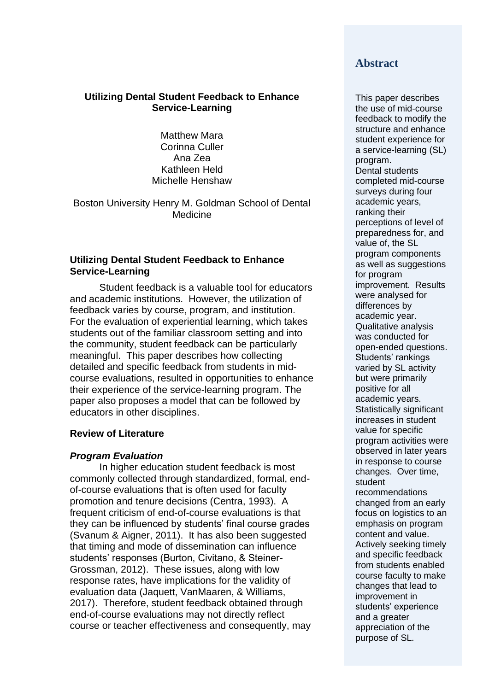# **Utilizing Dental Student Feedback to Enhance Service-Learning**

Matthew Mara Corinna Culler Ana Zea Kathleen Held Michelle Henshaw

Boston University Henry M. Goldman School of Dental Medicine

# **Utilizing Dental Student Feedback to Enhance Service-Learning**

Student feedback is a valuable tool for educators and academic institutions. However, the utilization of feedback varies by course, program, and institution. For the evaluation of experiential learning, which takes students out of the familiar classroom setting and into the community, student feedback can be particularly meaningful. This paper describes how collecting detailed and specific feedback from students in midcourse evaluations, resulted in opportunities to enhance their experience of the service-learning program. The paper also proposes a model that can be followed by educators in other disciplines.

# **Review of Literature**

# *Program Evaluation*

In higher education student feedback is most commonly collected through standardized, formal, endof-course evaluations that is often used for faculty promotion and tenure decisions (Centra, 1993). A frequent criticism of end-of-course evaluations is that they can be influenced by students' final course grades (Svanum & Aigner, 2011). It has also been suggested that timing and mode of dissemination can influence students' responses (Burton, Civitano, & Steiner-Grossman, 2012). These issues, along with low response rates, have implications for the validity of evaluation data (Jaquett, VanMaaren, & Williams, 2017). Therefore, student feedback obtained through end-of-course evaluations may not directly reflect course or teacher effectiveness and consequently, may

# **Abstract**

This paper describes the use of mid-course feedback to modify the structure and enhance student experience for a service-learning (SL) program. Dental students completed mid-course surveys during four academic years, ranking their perceptions of level of preparedness for, and value of, the SL program components as well as suggestions for program improvement. Results were analysed for differences by academic year. Qualitative analysis was conducted for open-ended questions. Students' rankings varied by SL activity but were primarily positive for all academic years. Statistically significant increases in student value for specific program activities were observed in later years in response to course changes. Over time, student recommendations changed from an early focus on logistics to an emphasis on program content and value. Actively seeking timely and specific feedback from students enabled course faculty to make changes that lead to improvement in students' experience and a greater appreciation of the purpose of SL.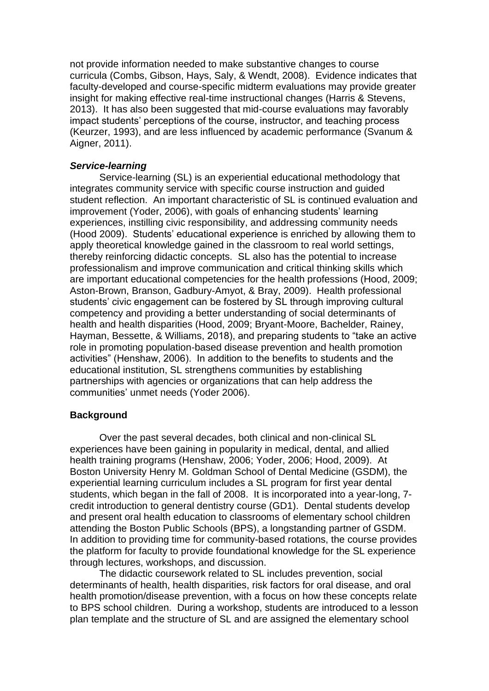not provide information needed to make substantive changes to course curricula (Combs, Gibson, Hays, Saly, & Wendt, 2008). Evidence indicates that faculty-developed and course-specific midterm evaluations may provide greater insight for making effective real-time instructional changes (Harris & Stevens, 2013). It has also been suggested that mid-course evaluations may favorably impact students' perceptions of the course, instructor, and teaching process (Keurzer, 1993), and are less influenced by academic performance (Svanum & Aigner, 2011).

# *Service-learning*

Service-learning (SL) is an experiential educational methodology that integrates community service with specific course instruction and guided student reflection. An important characteristic of SL is continued evaluation and improvement (Yoder, 2006), with goals of enhancing students' learning experiences, instilling civic responsibility, and addressing community needs (Hood 2009). Students' educational experience is enriched by allowing them to apply theoretical knowledge gained in the classroom to real world settings, thereby reinforcing didactic concepts. SL also has the potential to increase professionalism and improve communication and critical thinking skills which are important educational competencies for the health professions (Hood, 2009; Aston-Brown, Branson, Gadbury-Amyot, & Bray, 2009). Health professional students' civic engagement can be fostered by SL through improving cultural competency and providing a better understanding of social determinants of health and health disparities (Hood, 2009; Bryant-Moore, Bachelder, Rainey, Hayman, Bessette, & Williams, 2018), and preparing students to "take an active role in promoting population-based disease prevention and health promotion activities" (Henshaw, 2006). In addition to the benefits to students and the educational institution, SL strengthens communities by establishing partnerships with agencies or organizations that can help address the communities' unmet needs (Yoder 2006).

### **Background**

Over the past several decades, both clinical and non-clinical SL experiences have been gaining in popularity in medical, dental, and allied health training programs (Henshaw, 2006; Yoder, 2006; Hood, 2009). At Boston University Henry M. Goldman School of Dental Medicine (GSDM), the experiential learning curriculum includes a SL program for first year dental students, which began in the fall of 2008. It is incorporated into a year-long, 7 credit introduction to general dentistry course (GD1). Dental students develop and present oral health education to classrooms of elementary school children attending the Boston Public Schools (BPS), a longstanding partner of GSDM. In addition to providing time for community-based rotations, the course provides the platform for faculty to provide foundational knowledge for the SL experience through lectures, workshops, and discussion.

The didactic coursework related to SL includes prevention, social determinants of health, health disparities, risk factors for oral disease, and oral health promotion/disease prevention, with a focus on how these concepts relate to BPS school children. During a workshop, students are introduced to a lesson plan template and the structure of SL and are assigned the elementary school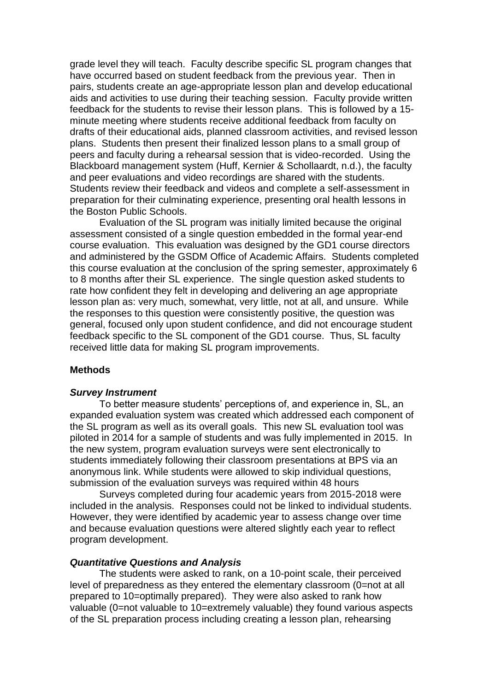grade level they will teach. Faculty describe specific SL program changes that have occurred based on student feedback from the previous year. Then in pairs, students create an age-appropriate lesson plan and develop educational aids and activities to use during their teaching session. Faculty provide written feedback for the students to revise their lesson plans. This is followed by a 15 minute meeting where students receive additional feedback from faculty on drafts of their educational aids, planned classroom activities, and revised lesson plans. Students then present their finalized lesson plans to a small group of peers and faculty during a rehearsal session that is video-recorded. Using the Blackboard management system (Huff, Kernier & Schollaardt, n.d.), the faculty and peer evaluations and video recordings are shared with the students. Students review their feedback and videos and complete a self-assessment in preparation for their culminating experience, presenting oral health lessons in the Boston Public Schools.

Evaluation of the SL program was initially limited because the original assessment consisted of a single question embedded in the formal year-end course evaluation. This evaluation was designed by the GD1 course directors and administered by the GSDM Office of Academic Affairs. Students completed this course evaluation at the conclusion of the spring semester, approximately 6 to 8 months after their SL experience. The single question asked students to rate how confident they felt in developing and delivering an age appropriate lesson plan as: very much, somewhat, very little, not at all, and unsure. While the responses to this question were consistently positive, the question was general, focused only upon student confidence, and did not encourage student feedback specific to the SL component of the GD1 course. Thus, SL faculty received little data for making SL program improvements.

### **Methods**

### *Survey Instrument*

To better measure students' perceptions of, and experience in, SL, an expanded evaluation system was created which addressed each component of the SL program as well as its overall goals. This new SL evaluation tool was piloted in 2014 for a sample of students and was fully implemented in 2015. In the new system, program evaluation surveys were sent electronically to students immediately following their classroom presentations at BPS via an anonymous link. While students were allowed to skip individual questions, submission of the evaluation surveys was required within 48 hours

Surveys completed during four academic years from 2015-2018 were included in the analysis. Responses could not be linked to individual students. However, they were identified by academic year to assess change over time and because evaluation questions were altered slightly each year to reflect program development.

### *Quantitative Questions and Analysis*

The students were asked to rank, on a 10-point scale, their perceived level of preparedness as they entered the elementary classroom (0=not at all prepared to 10=optimally prepared). They were also asked to rank how valuable (0=not valuable to 10=extremely valuable) they found various aspects of the SL preparation process including creating a lesson plan, rehearsing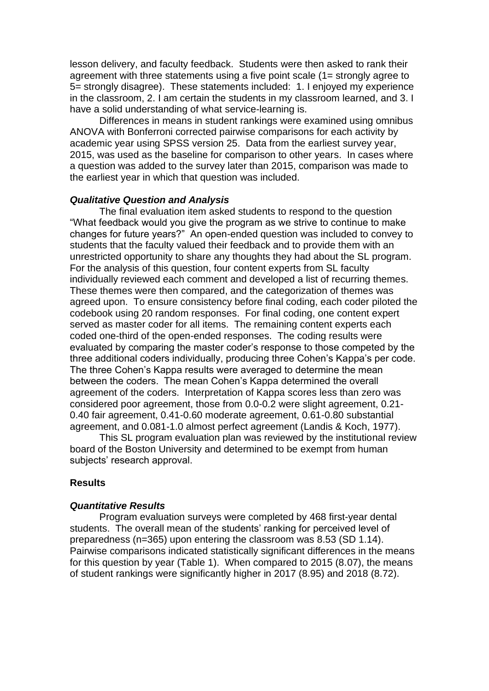lesson delivery, and faculty feedback. Students were then asked to rank their agreement with three statements using a five point scale (1= strongly agree to 5= strongly disagree). These statements included: 1. I enjoyed my experience in the classroom, 2. I am certain the students in my classroom learned, and 3. I have a solid understanding of what service-learning is.

Differences in means in student rankings were examined using omnibus ANOVA with Bonferroni corrected pairwise comparisons for each activity by academic year using SPSS version 25. Data from the earliest survey year, 2015, was used as the baseline for comparison to other years. In cases where a question was added to the survey later than 2015, comparison was made to the earliest year in which that question was included.

### *Qualitative Question and Analysis*

The final evaluation item asked students to respond to the question "What feedback would you give the program as we strive to continue to make changes for future years?" An open-ended question was included to convey to students that the faculty valued their feedback and to provide them with an unrestricted opportunity to share any thoughts they had about the SL program. For the analysis of this question, four content experts from SL faculty individually reviewed each comment and developed a list of recurring themes. These themes were then compared, and the categorization of themes was agreed upon. To ensure consistency before final coding, each coder piloted the codebook using 20 random responses. For final coding, one content expert served as master coder for all items. The remaining content experts each coded one-third of the open-ended responses. The coding results were evaluated by comparing the master coder's response to those competed by the three additional coders individually, producing three Cohen's Kappa's per code. The three Cohen's Kappa results were averaged to determine the mean between the coders. The mean Cohen's Kappa determined the overall agreement of the coders. Interpretation of Kappa scores less than zero was considered poor agreement, those from 0.0-0.2 were slight agreement, 0.21- 0.40 fair agreement, 0.41-0.60 moderate agreement, 0.61-0.80 substantial agreement, and 0.081-1.0 almost perfect agreement (Landis & Koch, 1977).

This SL program evaluation plan was reviewed by the institutional review board of the Boston University and determined to be exempt from human subjects' research approval.

### **Results**

#### *Quantitative Results*

Program evaluation surveys were completed by 468 first-year dental students. The overall mean of the students' ranking for perceived level of preparedness (n=365) upon entering the classroom was 8.53 (SD 1.14). Pairwise comparisons indicated statistically significant differences in the means for this question by year (Table 1). When compared to 2015 (8.07), the means of student rankings were significantly higher in 2017 (8.95) and 2018 (8.72).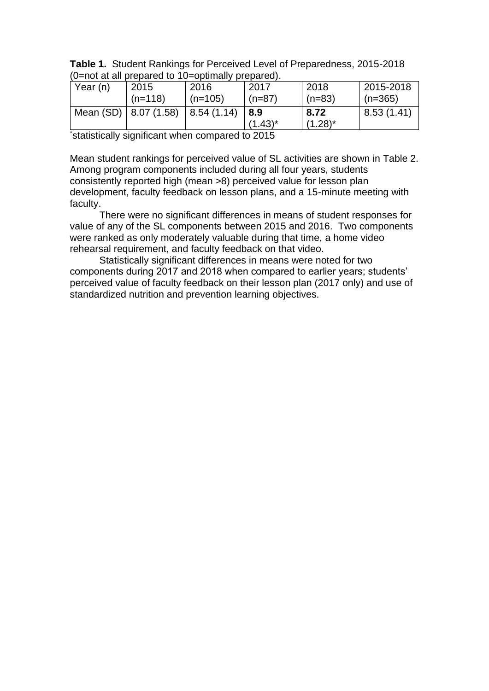| <b>Table 1.</b> Student Rankings for Perceived Level of Preparedness, 2015-2018 |
|---------------------------------------------------------------------------------|
| (0=not at all prepared to 10=optimally prepared).                               |

| Year (n) | 2015                        | 2016                | 2017              | 2018               | 2015-2018   |
|----------|-----------------------------|---------------------|-------------------|--------------------|-------------|
|          | $(n=118)$                   | $(n=105)$           | $(n=87)$          | $(n=83)$           | $(n=365)$   |
|          | Mean $(SD)$   8.07 $(1.58)$ | $\vert$ 8.54 (1.14) | 8.9<br>$(1.43)^*$ | 8.72<br>$(1.28)^*$ | 8.53 (1.41) |

\*statistically significant when compared to 2015

Mean student rankings for perceived value of SL activities are shown in Table 2. Among program components included during all four years, students consistently reported high (mean >8) perceived value for lesson plan development, faculty feedback on lesson plans, and a 15-minute meeting with faculty.

There were no significant differences in means of student responses for value of any of the SL components between 2015 and 2016. Two components were ranked as only moderately valuable during that time, a home video rehearsal requirement, and faculty feedback on that video.

Statistically significant differences in means were noted for two components during 2017 and 2018 when compared to earlier years; students' perceived value of faculty feedback on their lesson plan (2017 only) and use of standardized nutrition and prevention learning objectives.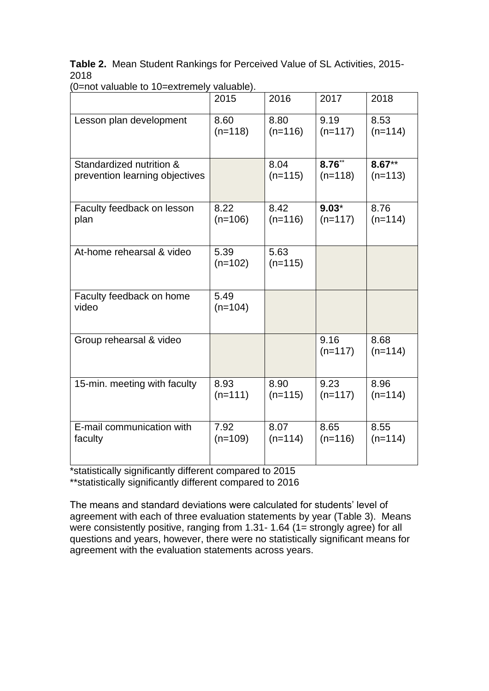**Table 2.** Mean Student Rankings for Perceived Value of SL Activities, 2015- 2018

|                                   | 2015              | 2016              | 2017              | 2018              |
|-----------------------------------|-------------------|-------------------|-------------------|-------------------|
| Lesson plan development           | 8.60              | 8.80              | 9.19              | 8.53              |
|                                   | $(n=118)$         | $(n=116)$         | $(n=117)$         | $(n=114)$         |
| Standardized nutrition &          |                   | 8.04              | $8.76***$         | $8.67***$         |
| prevention learning objectives    |                   | $(n=115)$         | $(n=118)$         | $(n=113)$         |
| Faculty feedback on lesson        | 8.22              | 8.42              | $9.03*$           | 8.76              |
| plan                              | $(n=106)$         | $(n=116)$         | $(n=117)$         | $(n=114)$         |
| At-home rehearsal & video         | 5.39<br>$(n=102)$ | 5.63<br>$(n=115)$ |                   |                   |
| Faculty feedback on home<br>video | 5.49<br>$(n=104)$ |                   |                   |                   |
| Group rehearsal & video           |                   |                   | 9.16<br>$(n=117)$ | 8.68<br>$(n=114)$ |
| 15-min. meeting with faculty      | 8.93              | 8.90              | 9.23              | 8.96              |
|                                   | $(n=111)$         | $(n=115)$         | $(n=117)$         | $(n=114)$         |
| E-mail communication with         | 7.92              | 8.07              | 8.65              | 8.55              |
| faculty                           | $(n=109)$         | $(n=114)$         | $(n=116)$         | $(n=114)$         |

(0=not valuable to 10=extremely valuable).

\*statistically significantly different compared to 2015

\*\*statistically significantly different compared to 2016

The means and standard deviations were calculated for students' level of agreement with each of three evaluation statements by year (Table 3). Means were consistently positive, ranging from 1.31- 1.64 (1= strongly agree) for all questions and years, however, there were no statistically significant means for agreement with the evaluation statements across years.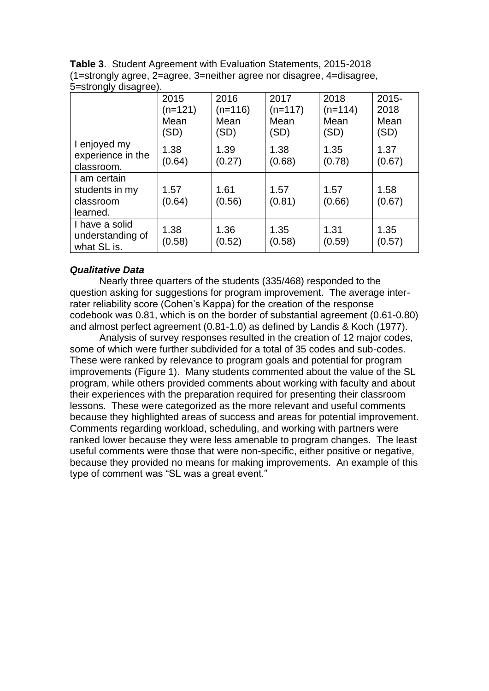|                                                         | 2015<br>$(n=121)$<br>Mean<br>'SD) | 2016<br>$(n=116)$<br>Mean<br>(SD) | 2017<br>$(n=117)$<br>Mean<br>'SD) | 2018<br>$(n=114)$<br>Mean<br>'SD) | $2015 -$<br>2018<br>Mean<br>'SD) |
|---------------------------------------------------------|-----------------------------------|-----------------------------------|-----------------------------------|-----------------------------------|----------------------------------|
| I enjoyed my<br>experience in the<br>classroom.         | 1.38<br>(0.64)                    | 1.39<br>(0.27)                    | 1.38<br>(0.68)                    | 1.35<br>(0.78)                    | 1.37<br>(0.67)                   |
| I am certain<br>students in my<br>classroom<br>learned. | 1.57<br>(0.64)                    | 1.61<br>(0.56)                    | 1.57<br>(0.81)                    | 1.57<br>(0.66)                    | 1.58<br>(0.67)                   |
| I have a solid<br>understanding of<br>what SL is.       | 1.38<br>(0.58)                    | 1.36<br>(0.52)                    | 1.35<br>(0.58)                    | 1.31<br>(0.59)                    | 1.35<br>(0.57)                   |

**Table 3**. Student Agreement with Evaluation Statements, 2015-2018 (1=strongly agree, 2=agree, 3=neither agree nor disagree, 4=disagree, 5=strongly disagree).

# *Qualitative Data*

Nearly three quarters of the students (335/468) responded to the question asking for suggestions for program improvement. The average interrater reliability score (Cohen's Kappa) for the creation of the response codebook was 0.81, which is on the border of substantial agreement (0.61-0.80) and almost perfect agreement (0.81-1.0) as defined by Landis & Koch (1977).

Analysis of survey responses resulted in the creation of 12 major codes, some of which were further subdivided for a total of 35 codes and sub-codes. These were ranked by relevance to program goals and potential for program improvements (Figure 1). Many students commented about the value of the SL program, while others provided comments about working with faculty and about their experiences with the preparation required for presenting their classroom lessons. These were categorized as the more relevant and useful comments because they highlighted areas of success and areas for potential improvement. Comments regarding workload, scheduling, and working with partners were ranked lower because they were less amenable to program changes. The least useful comments were those that were non-specific, either positive or negative, because they provided no means for making improvements. An example of this type of comment was "SL was a great event."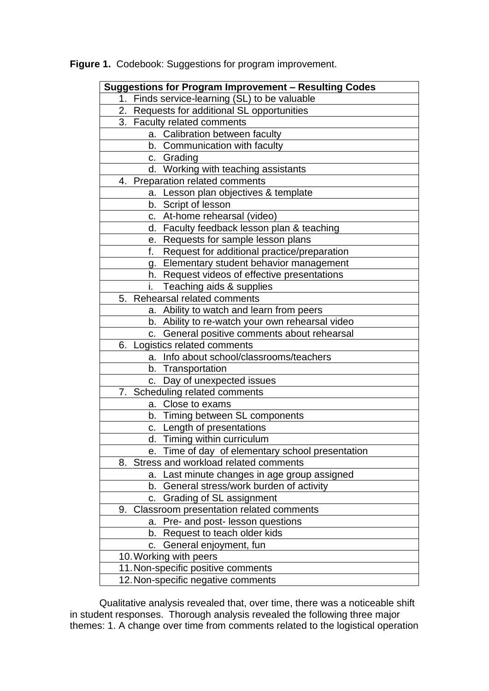| Suggestions for Program Improvement - Resulting Codes |  |  |
|-------------------------------------------------------|--|--|
| 1. Finds service-learning (SL) to be valuable         |  |  |
| 2. Requests for additional SL opportunities           |  |  |
| 3. Faculty related comments                           |  |  |
| a. Calibration between faculty                        |  |  |
| b. Communication with faculty                         |  |  |
| c. Grading                                            |  |  |
| d. Working with teaching assistants                   |  |  |
| 4. Preparation related comments                       |  |  |
| a. Lesson plan objectives & template                  |  |  |
| b. Script of lesson                                   |  |  |
| c. At-home rehearsal (video)                          |  |  |
| d. Faculty feedback lesson plan & teaching            |  |  |
| e. Requests for sample lesson plans                   |  |  |
| Request for additional practice/preparation<br>f.     |  |  |
| g. Elementary student behavior management             |  |  |
| h. Request videos of effective presentations          |  |  |
| Teaching aids & supplies                              |  |  |
| 5. Rehearsal related comments                         |  |  |
| a. Ability to watch and learn from peers              |  |  |
| b. Ability to re-watch your own rehearsal video       |  |  |
| c. General positive comments about rehearsal          |  |  |
| 6. Logistics related comments                         |  |  |
| a. Info about school/classrooms/teachers              |  |  |
| b. Transportation                                     |  |  |
| c. Day of unexpected issues                           |  |  |
| 7. Scheduling related comments                        |  |  |
| a. Close to exams                                     |  |  |
| b. Timing between SL components                       |  |  |
| c. Length of presentations                            |  |  |
| d. Timing within curriculum                           |  |  |
| Time of day of elementary school presentation<br>e.   |  |  |
| 8. Stress and workload related comments               |  |  |
| a. Last minute changes in age group assigned          |  |  |
| General stress/work burden of activity<br>b.          |  |  |
| Grading of SL assignment<br>C.                        |  |  |
| 9. Classroom presentation related comments            |  |  |
| Pre- and post- lesson questions<br>a.                 |  |  |
| Request to teach older kids<br>b.                     |  |  |
| General enjoyment, fun<br>C.                          |  |  |
| 10. Working with peers                                |  |  |
| 11. Non-specific positive comments                    |  |  |
| 12. Non-specific negative comments                    |  |  |

**Figure 1.** Codebook: Suggestions for program improvement.

Qualitative analysis revealed that, over time, there was a noticeable shift in student responses. Thorough analysis revealed the following three major themes: 1. A change over time from comments related to the logistical operation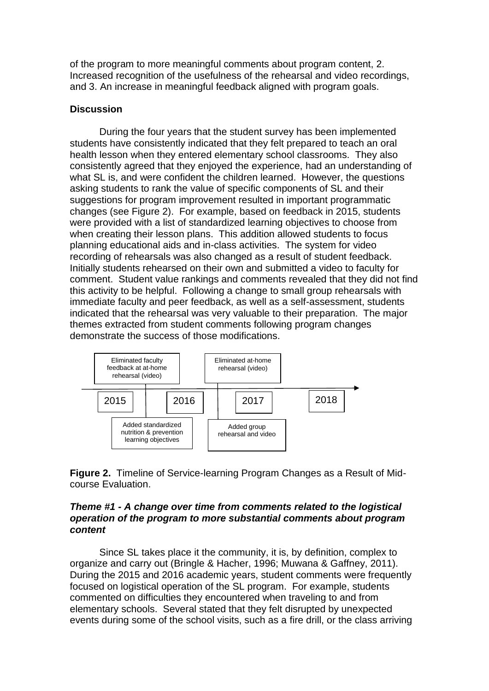of the program to more meaningful comments about program content, 2. Increased recognition of the usefulness of the rehearsal and video recordings, and 3. An increase in meaningful feedback aligned with program goals.

# **Discussion**

During the four years that the student survey has been implemented students have consistently indicated that they felt prepared to teach an oral health lesson when they entered elementary school classrooms. They also consistently agreed that they enjoyed the experience, had an understanding of what SL is, and were confident the children learned. However, the questions asking students to rank the value of specific components of SL and their suggestions for program improvement resulted in important programmatic changes (see Figure 2). For example, based on feedback in 2015, students were provided with a list of standardized learning objectives to choose from when creating their lesson plans. This addition allowed students to focus planning educational aids and in-class activities. The system for video recording of rehearsals was also changed as a result of student feedback. Initially students rehearsed on their own and submitted a video to faculty for comment. Student value rankings and comments revealed that they did not find this activity to be helpful. Following a change to small group rehearsals with immediate faculty and peer feedback, as well as a self-assessment, students indicated that the rehearsal was very valuable to their preparation. The major themes extracted from student comments following program changes demonstrate the success of those modifications.



**Figure 2.** Timeline of Service-learning Program Changes as a Result of Midcourse Evaluation.

# *Theme #1 - A change over time from comments related to the logistical operation of the program to more substantial comments about program content*

Since SL takes place it the community, it is, by definition, complex to organize and carry out (Bringle & Hacher, 1996; Muwana & Gaffney, 2011). During the 2015 and 2016 academic years, student comments were frequently focused on logistical operation of the SL program. For example, students commented on difficulties they encountered when traveling to and from elementary schools. Several stated that they felt disrupted by unexpected events during some of the school visits, such as a fire drill, or the class arriving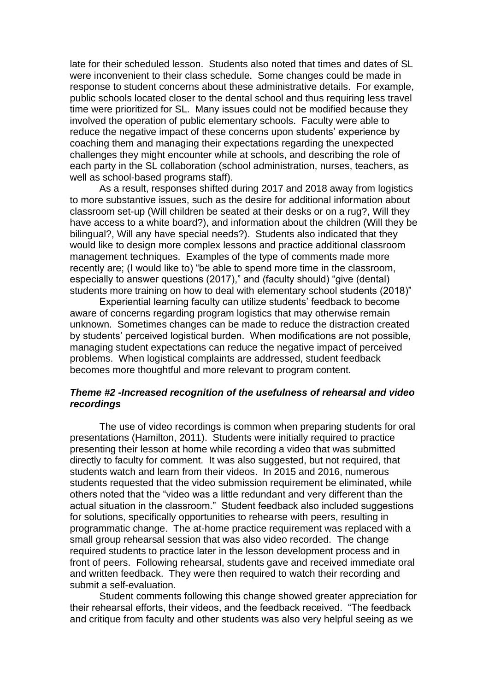late for their scheduled lesson. Students also noted that times and dates of SL were inconvenient to their class schedule. Some changes could be made in response to student concerns about these administrative details. For example, public schools located closer to the dental school and thus requiring less travel time were prioritized for SL. Many issues could not be modified because they involved the operation of public elementary schools. Faculty were able to reduce the negative impact of these concerns upon students' experience by coaching them and managing their expectations regarding the unexpected challenges they might encounter while at schools, and describing the role of each party in the SL collaboration (school administration, nurses, teachers, as well as school-based programs staff).

As a result, responses shifted during 2017 and 2018 away from logistics to more substantive issues, such as the desire for additional information about classroom set-up (Will children be seated at their desks or on a rug?, Will they have access to a white board?), and information about the children (Will they be bilingual?, Will any have special needs?). Students also indicated that they would like to design more complex lessons and practice additional classroom management techniques. Examples of the type of comments made more recently are; (I would like to) "be able to spend more time in the classroom, especially to answer questions (2017)," and (faculty should) "give (dental) students more training on how to deal with elementary school students (2018)"

Experiential learning faculty can utilize students' feedback to become aware of concerns regarding program logistics that may otherwise remain unknown. Sometimes changes can be made to reduce the distraction created by students' perceived logistical burden. When modifications are not possible, managing student expectations can reduce the negative impact of perceived problems. When logistical complaints are addressed, student feedback becomes more thoughtful and more relevant to program content.

# *Theme #2 -Increased recognition of the usefulness of rehearsal and video recordings*

The use of video recordings is common when preparing students for oral presentations (Hamilton, 2011). Students were initially required to practice presenting their lesson at home while recording a video that was submitted directly to faculty for comment. It was also suggested, but not required, that students watch and learn from their videos. In 2015 and 2016, numerous students requested that the video submission requirement be eliminated, while others noted that the "video was a little redundant and very different than the actual situation in the classroom." Student feedback also included suggestions for solutions, specifically opportunities to rehearse with peers, resulting in programmatic change. The at-home practice requirement was replaced with a small group rehearsal session that was also video recorded. The change required students to practice later in the lesson development process and in front of peers. Following rehearsal, students gave and received immediate oral and written feedback. They were then required to watch their recording and submit a self-evaluation.

Student comments following this change showed greater appreciation for their rehearsal efforts, their videos, and the feedback received. "The feedback and critique from faculty and other students was also very helpful seeing as we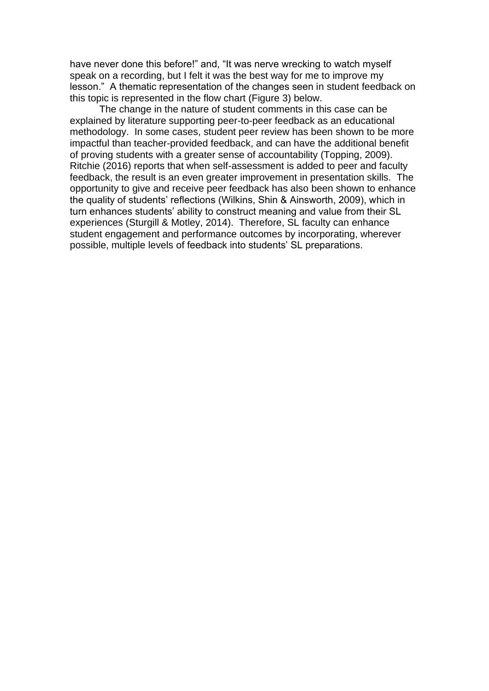have never done this before!" and, "It was nerve wrecking to watch myself speak on a recording, but I felt it was the best way for me to improve my lesson." A thematic representation of the changes seen in student feedback on this topic is represented in the flow chart (Figure 3) below.

The change in the nature of student comments in this case can be explained by literature supporting peer-to-peer feedback as an educational methodology. In some cases, student peer review has been shown to be more impactful than teacher-provided feedback, and can have the additional benefit of proving students with a greater sense of accountability (Topping, 2009). Ritchie (2016) reports that when self-assessment is added to peer and faculty feedback, the result is an even greater improvement in presentation skills. The opportunity to give and receive peer feedback has also been shown to enhance the quality of students' reflections (Wilkins, Shin & Ainsworth, 2009), which in turn enhances students' ability to construct meaning and value from their SL experiences (Sturgill & Motley, 2014). Therefore, SL faculty can enhance student engagement and performance outcomes by incorporating, wherever possible, multiple levels of feedback into students' SL preparations.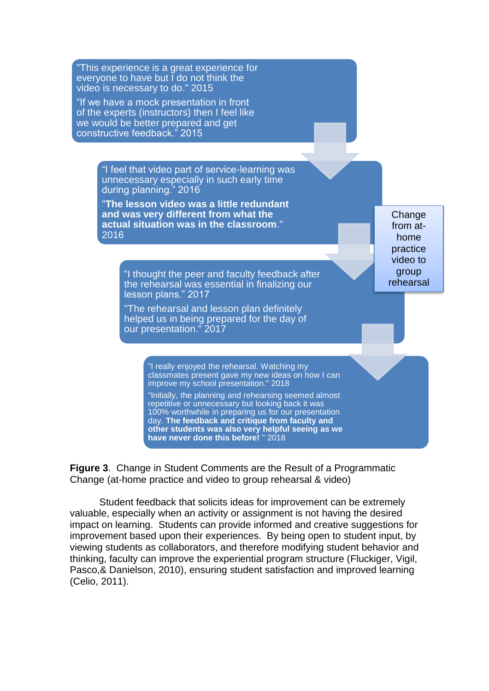"This experience is a great experience for everyone to have but I do not think the video is necessary to do." 2015 "If we have a mock presentation in front of the experts (instructors) then I feel like we would be better prepared and get constructive feedback." 2015 "I feel that video part of service-learning was unnecessary especially in such early time during planning." 2016 "**The lesson video was a little redundant and was very different from what the actual situation was in the classroom**." 2016 "I thought the peer and faculty feedback after the rehearsal was essential in finalizing our lesson plans." 2017 "The rehearsal and lesson plan definitely helped us in being prepared for the day of our presentation." 2017 "I really enjoyed the rehearsal. Watching my classmates present gave my new ideas on how I can improve my school presentation." 2018 "Initially, the planning and rehearsing seemed almost repetitive or unnecessary but looking back it was 100% worthwhile in preparing us for our presentation day. **The feedback and critique from faculty and other students was also very helpful seeing as we have never done this before!** " 2018 **Change** from athome practice video to group rehearsal and video

**Figure 3**. Change in Student Comments are the Result of a Programmatic Change (at-home practice and video to group rehearsal & video)

Student feedback that solicits ideas for improvement can be extremely valuable, especially when an activity or assignment is not having the desired impact on learning. Students can provide informed and creative suggestions for improvement based upon their experiences. By being open to student input, by viewing students as collaborators, and therefore modifying student behavior and thinking, faculty can improve the experiential program structure (Fluckiger, Vigil, Pasco,& Danielson, 2010), ensuring student satisfaction and improved learning (Celio, 2011).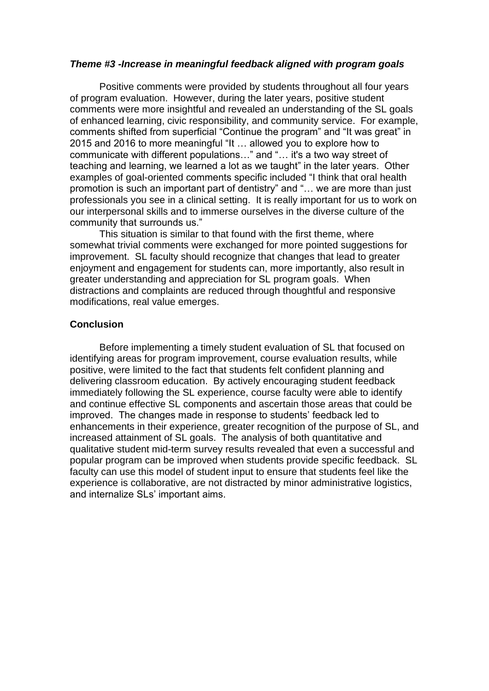### *Theme #3 -Increase in meaningful feedback aligned with program goals*

Positive comments were provided by students throughout all four years of program evaluation. However, during the later years, positive student comments were more insightful and revealed an understanding of the SL goals of enhanced learning, civic responsibility, and community service. For example, comments shifted from superficial "Continue the program" and "It was great" in 2015 and 2016 to more meaningful "It … allowed you to explore how to communicate with different populations…" and "… it's a two way street of teaching and learning, we learned a lot as we taught" in the later years. Other examples of goal-oriented comments specific included "I think that oral health promotion is such an important part of dentistry" and "… we are more than just professionals you see in a clinical setting. It is really important for us to work on our interpersonal skills and to immerse ourselves in the diverse culture of the community that surrounds us."

This situation is similar to that found with the first theme, where somewhat trivial comments were exchanged for more pointed suggestions for improvement. SL faculty should recognize that changes that lead to greater enjoyment and engagement for students can, more importantly, also result in greater understanding and appreciation for SL program goals. When distractions and complaints are reduced through thoughtful and responsive modifications, real value emerges.

### **Conclusion**

Before implementing a timely student evaluation of SL that focused on identifying areas for program improvement, course evaluation results, while positive, were limited to the fact that students felt confident planning and delivering classroom education. By actively encouraging student feedback immediately following the SL experience, course faculty were able to identify and continue effective SL components and ascertain those areas that could be improved. The changes made in response to students' feedback led to enhancements in their experience, greater recognition of the purpose of SL, and increased attainment of SL goals. The analysis of both quantitative and qualitative student mid-term survey results revealed that even a successful and popular program can be improved when students provide specific feedback. SL faculty can use this model of student input to ensure that students feel like the experience is collaborative, are not distracted by minor administrative logistics, and internalize SLs' important aims.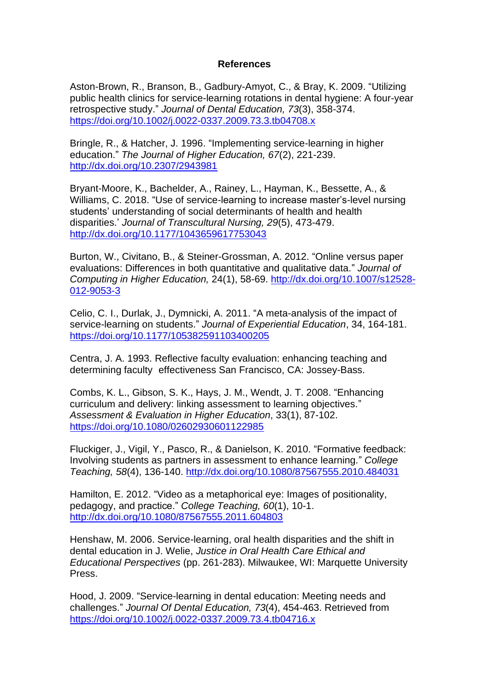# **References**

Aston-Brown, R., Branson, B., Gadbury-Amyot, C., & Bray, K. 2009. "Utilizing public health clinics for service-learning rotations in dental hygiene: A four-year retrospective study." *Journal of Dental Education, 73*(3), 358-374. <https://doi.org/10.1002/j.0022-0337.2009.73.3.tb04708.x>

Bringle, R., & Hatcher, J. 1996. "Implementing service-learning in higher education." *The Journal of Higher Education, 67*(2), 221-239. <http://dx.doi.org/10.2307/2943981>

Bryant-Moore, K., Bachelder, A., Rainey, L., Hayman, K., Bessette, A., & Williams, C. 2018. "Use of service-learning to increase master's-level nursing students' understanding of social determinants of health and health disparities.' *Journal of Transcultural Nursing, 29*(5), 473-479. <http://dx.doi.org/10.1177/1043659617753043>

Burton, W., Civitano, B., & Steiner-Grossman, A. 2012. "Online versus paper evaluations: Differences in both quantitative and qualitative data." *Journal of Computing in Higher Education,* 24(1), 58-69. [http://dx.doi.org/10.1007/s12528-](http://dx.doi.org/10.1007/s12528-012-9053-3) [012-9053-3](http://dx.doi.org/10.1007/s12528-012-9053-3)

Celio, C. I., Durlak, J., Dymnicki, A. 2011. "A meta-analysis of the impact of service-learning on students." *Journal of Experiential Education*, 34, 164-181. <https://doi.org/10.1177/105382591103400205>

Centra, J. A. 1993. Reflective faculty evaluation: enhancing teaching and determining faculty effectiveness San Francisco, CA: Jossey-Bass.

Combs, K. L., Gibson, S. K., Hays, J. M., Wendt, J. T. 2008. "Enhancing curriculum and delivery: linking assessment to learning objectives." *Assessment & Evaluation in Higher Education*, 33(1), 87-102. <https://doi.org/10.1080/02602930601122985>

Fluckiger, J., Vigil, Y., Pasco, R., & Danielson, K. 2010. "Formative feedback: Involving students as partners in assessment to enhance learning." *College Teaching, 58*(4), 136-140.<http://dx.doi.org/10.1080/87567555.2010.484031>

Hamilton, E. 2012. "Video as a metaphorical eye: Images of positionality, pedagogy, and practice." *College Teaching, 60*(1), 10-1. <http://dx.doi.org/10.1080/87567555.2011.604803>

Henshaw, M. 2006. Service-learning, oral health disparities and the shift in dental education in J. Welie, *Justice in Oral Health Care Ethical and Educational Perspectives* (pp. 261-283). Milwaukee, WI: Marquette University Press.

Hood, J. 2009. "Service-learning in dental education: Meeting needs and challenges." *Journal Of Dental Education, 73*(4), 454-463. Retrieved from <https://doi.org/10.1002/j.0022-0337.2009.73.4.tb04716.x>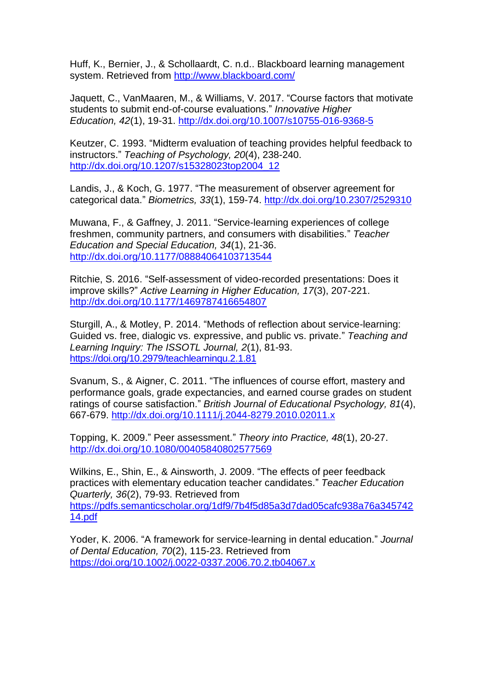Huff, K., Bernier, J., & Schollaardt, C. n.d.. Blackboard learning management system. Retrieved from<http://www.blackboard.com/>

Jaquett, C., VanMaaren, M., & Williams, V. 2017. "Course factors that motivate students to submit end-of-course evaluations." *Innovative Higher Education, 42*(1), 19-31.<http://dx.doi.org/10.1007/s10755-016-9368-5>

Keutzer, C. 1993. "Midterm evaluation of teaching provides helpful feedback to instructors." *Teaching of Psychology, 20*(4), 238-240. [http://dx.doi.org/10.1207/s15328023top2004\\_12](http://dx.doi.org/10.1207/s15328023top2004_12)

Landis, J., & Koch, G. 1977. "The measurement of observer agreement for categorical data." *Biometrics, 33*(1), 159-74.<http://dx.doi.org/10.2307/2529310>

Muwana, F., & Gaffney, J. 2011. "Service-learning experiences of college freshmen, community partners, and consumers with disabilities." *Teacher Education and Special Education, 34*(1), 21-36. <http://dx.doi.org/10.1177/08884064103713544>

Ritchie, S. 2016. "Self-assessment of video-recorded presentations: Does it improve skills?" *Active Learning in Higher Education, 17*(3), 207-221. <http://dx.doi.org/10.1177/1469787416654807>

Sturgill, A., & Motley, P. 2014. "Methods of reflection about service-learning: Guided vs. free, dialogic vs. expressive, and public vs. private." *Teaching and Learning Inquiry: The ISSOTL Journal, 2*(1), 81-93. <https://doi.org/10.2979/teachlearninqu.2.1.81>

Svanum, S., & Aigner, C. 2011. "The influences of course effort, mastery and performance goals, grade expectancies, and earned course grades on student ratings of course satisfaction." *British Journal of Educational Psychology, 81*(4), 667-679.<http://dx.doi.org/10.1111/j.2044-8279.2010.02011.x>

Topping, K. 2009." Peer assessment." *Theory into Practice, 48*(1), 20-27. <http://dx.doi.org/10.1080/00405840802577569>

Wilkins, E., Shin, E., & Ainsworth, J. 2009. "The effects of peer feedback practices with elementary education teacher candidates." *Teacher Education Quarterly, 36*(2), 79-93. Retrieved from [https://pdfs.semanticscholar.org/1df9/7b4f5d85a3d7dad05cafc938a76a345742](https://pdfs.semanticscholar.org/1df9/7b4f5d85a3d7dad05cafc938a76a34574214.pdf) [14.pdf](https://pdfs.semanticscholar.org/1df9/7b4f5d85a3d7dad05cafc938a76a34574214.pdf)

Yoder, K. 2006. "A framework for service-learning in dental education." *Journal of Dental Education, 70*(2), 115-23. Retrieved from <https://doi.org/10.1002/j.0022-0337.2006.70.2.tb04067.x>